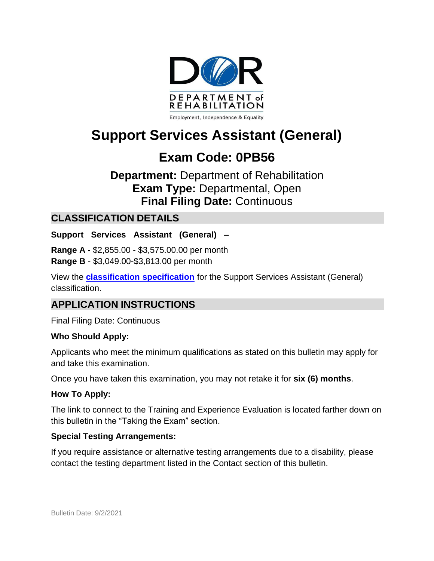

# **Support Services Assistant (General)**

# **Exam Code: 0PB56**

# **Department:** Department of Rehabilitation **Exam Type:** Departmental, Open **Final Filing Date:** Continuous

### **CLASSIFICATION DETAILS**

**Support Services Assistant (General) –**

**Range A -** \$2,855.00 - \$3,575.00.00 per month **Range B** - \$3,049.00-\$3,813.00 per month

View the **[classification specification](http://calhr.ca.gov/state-hr-professionals/pages/1432.aspx)** for the Support Services Assistant (General) classification.

### **APPLICATION INSTRUCTIONS**

Final Filing Date: Continuous

#### **Who Should Apply:**

Applicants who meet the minimum qualifications as stated on this bulletin may apply for and take this examination.

Once you have taken this examination, you may not retake it for **six (6) months**.

#### **How To Apply:**

The link to connect to the Training and Experience Evaluation is located farther down on this bulletin in the "Taking the Exam" section.

#### **Special Testing Arrangements:**

If you require assistance or alternative testing arrangements due to a disability, please contact the testing department listed in the Contact section of this bulletin.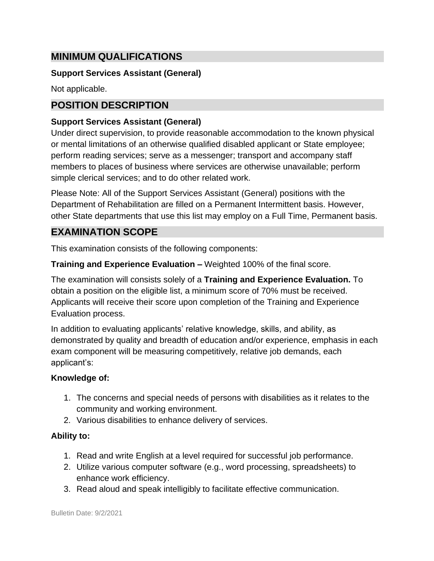### **MINIMUM QUALIFICATIONS**

#### **Support Services Assistant (General)**

Not applicable.

## **POSITION DESCRIPTION**

#### **Support Services Assistant (General)**

Under direct supervision, to provide reasonable accommodation to the known physical or mental limitations of an otherwise qualified disabled applicant or State employee; perform reading services; serve as a messenger; transport and accompany staff members to places of business where services are otherwise unavailable; perform simple clerical services; and to do other related work.

Please Note: All of the Support Services Assistant (General) positions with the Department of Rehabilitation are filled on a Permanent Intermittent basis. However, other State departments that use this list may employ on a Full Time, Permanent basis.

### **EXAMINATION SCOPE**

This examination consists of the following components:

**Training and Experience Evaluation –** Weighted 100% of the final score.

The examination will consists solely of a **Training and Experience Evaluation.** To obtain a position on the eligible list, a minimum score of 70% must be received. Applicants will receive their score upon completion of the Training and Experience Evaluation process.

In addition to evaluating applicants' relative knowledge, skills, and ability, as demonstrated by quality and breadth of education and/or experience, emphasis in each exam component will be measuring competitively, relative job demands, each applicant's:

#### **Knowledge of:**

- 1. The concerns and special needs of persons with disabilities as it relates to the community and working environment.
- 2. Various disabilities to enhance delivery of services.

#### **Ability to:**

- 1. Read and write English at a level required for successful job performance.
- 2. Utilize various computer software (e.g., word processing, spreadsheets) to enhance work efficiency.
- 3. Read aloud and speak intelligibly to facilitate effective communication.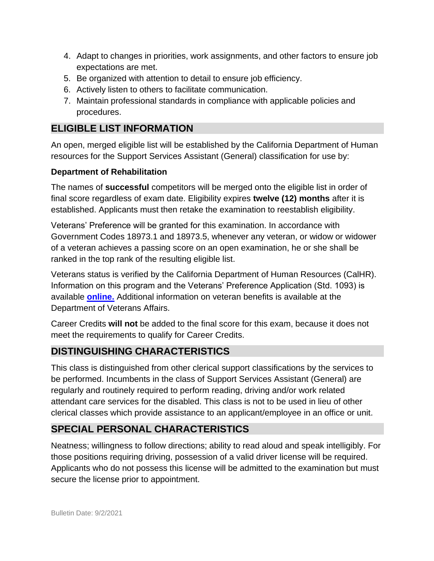- 4. Adapt to changes in priorities, work assignments, and other factors to ensure job expectations are met.
- 5. Be organized with attention to detail to ensure job efficiency.
- 6. Actively listen to others to facilitate communication.
- 7. Maintain professional standards in compliance with applicable policies and procedures.

# **ELIGIBLE LIST INFORMATION**

An open, merged eligible list will be established by the California Department of Human resources for the Support Services Assistant (General) classification for use by:

#### **Department of Rehabilitation**

The names of **successful** competitors will be merged onto the eligible list in order of final score regardless of exam date. Eligibility expires **twelve (12) months** after it is established. Applicants must then retake the examination to reestablish eligibility.

Veterans' Preference will be granted for this examination. In accordance with Government Codes 18973.1 and 18973.5, whenever any veteran, or widow or widower of a veteran achieves a passing score on an open examination, he or she shall be ranked in the top rank of the resulting eligible list.

Veterans status is verified by the California Department of Human Resources (CalHR). Information on this program and the Veterans' Preference Application (Std. 1093) is available **[online.](https://www.jobs.ca.gov/CalHRPublic/Landing/Jobs/VeteransInformation.aspx)** Additional information on veteran benefits is available at the Department of Veterans Affairs.

Career Credits **will not** be added to the final score for this exam, because it does not meet the requirements to qualify for Career Credits.

# **DISTINGUISHING CHARACTERISTICS**

This class is distinguished from other clerical support classifications by the services to be performed. Incumbents in the class of Support Services Assistant (General) are regularly and routinely required to perform reading, driving and/or work related attendant care services for the disabled. This class is not to be used in lieu of other clerical classes which provide assistance to an applicant/employee in an office or unit.

# **SPECIAL PERSONAL CHARACTERISTICS**

Neatness; willingness to follow directions; ability to read aloud and speak intelligibly. For those positions requiring driving, possession of a valid driver license will be required. Applicants who do not possess this license will be admitted to the examination but must secure the license prior to appointment.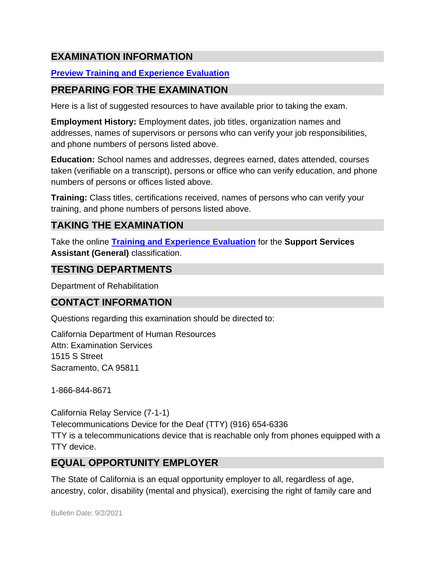# **EXAMINATION INFORMATION**

### **Preview Training and [Experience](https://jobs.ca.gov/JOBSGEN/0PB56A.pdf) Evaluation**

### **PREPARING FOR THE EXAMINATION**

Here is a list of suggested resources to have available prior to taking the exam.

**Employment History:** Employment dates, job titles, organization names and addresses, names of supervisors or persons who can verify your job responsibilities, and phone numbers of persons listed above.

**Education:** School names and addresses, degrees earned, dates attended, courses taken (verifiable on a transcript), persons or office who can verify education, and phone numbers of persons or offices listed above.

**Training:** Class titles, certifications received, names of persons who can verify your training, and phone numbers of persons listed above.

# **TAKING THE EXAMINATION**

Take the online **[Training and Experience Evaluation](https://www.jobs.ca.gov/CalHRPublic/Login.aspx?ExamId=0PB56)** for the **Support Services Assistant (General)** classification.

### **TESTING DEPARTMENTS**

Department of Rehabilitation

#### **CONTACT INFORMATION**

Questions regarding this examination should be directed to:

California Department of Human Resources Attn: Examination Services 1515 S Street Sacramento, CA 95811

1-866-844-8671

California Relay Service (7-1-1) Telecommunications Device for the Deaf (TTY) (916) 654-6336 TTY is a telecommunications device that is reachable only from phones equipped with a TTY device.

### **EQUAL OPPORTUNITY EMPLOYER**

The State of California is an equal opportunity employer to all, regardless of age, ancestry, color, disability (mental and physical), exercising the right of family care and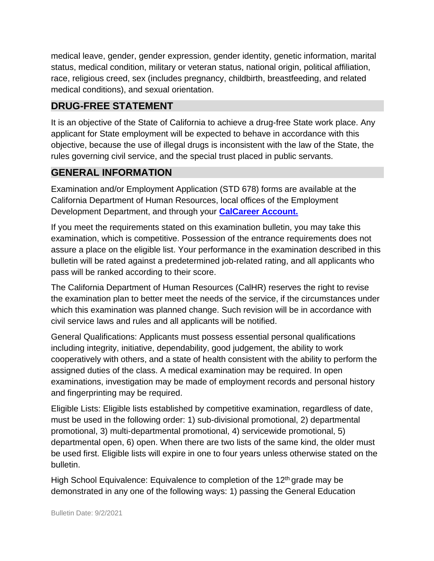medical leave, gender, gender expression, gender identity, genetic information, marital status, medical condition, military or veteran status, national origin, political affiliation, race, religious creed, sex (includes pregnancy, childbirth, breastfeeding, and related medical conditions), and sexual orientation.

# **DRUG-FREE STATEMENT**

It is an objective of the State of California to achieve a drug-free State work place. Any applicant for State employment will be expected to behave in accordance with this objective, because the use of illegal drugs is inconsistent with the law of the State, the rules governing civil service, and the special trust placed in public servants.

# **GENERAL INFORMATION**

Examination and/or Employment Application (STD 678) forms are available at the California Department of Human Resources, local offices of the Employment Development Department, and through your **[CalCareer](http://www.jobs.ca.gov/) Account.**

If you meet the requirements stated on this examination bulletin, you may take this examination, which is competitive. Possession of the entrance requirements does not assure a place on the eligible list. Your performance in the examination described in this bulletin will be rated against a predetermined job-related rating, and all applicants who pass will be ranked according to their score.

The California Department of Human Resources (CalHR) reserves the right to revise the examination plan to better meet the needs of the service, if the circumstances under which this examination was planned change. Such revision will be in accordance with civil service laws and rules and all applicants will be notified.

General Qualifications: Applicants must possess essential personal qualifications including integrity, initiative, dependability, good judgement, the ability to work cooperatively with others, and a state of health consistent with the ability to perform the assigned duties of the class. A medical examination may be required. In open examinations, investigation may be made of employment records and personal history and fingerprinting may be required.

Eligible Lists: Eligible lists established by competitive examination, regardless of date, must be used in the following order: 1) sub-divisional promotional, 2) departmental promotional, 3) multi-departmental promotional, 4) servicewide promotional, 5) departmental open, 6) open. When there are two lists of the same kind, the older must be used first. Eligible lists will expire in one to four years unless otherwise stated on the bulletin.

High School Equivalence: Equivalence to completion of the 12<sup>th</sup> grade may be demonstrated in any one of the following ways: 1) passing the General Education